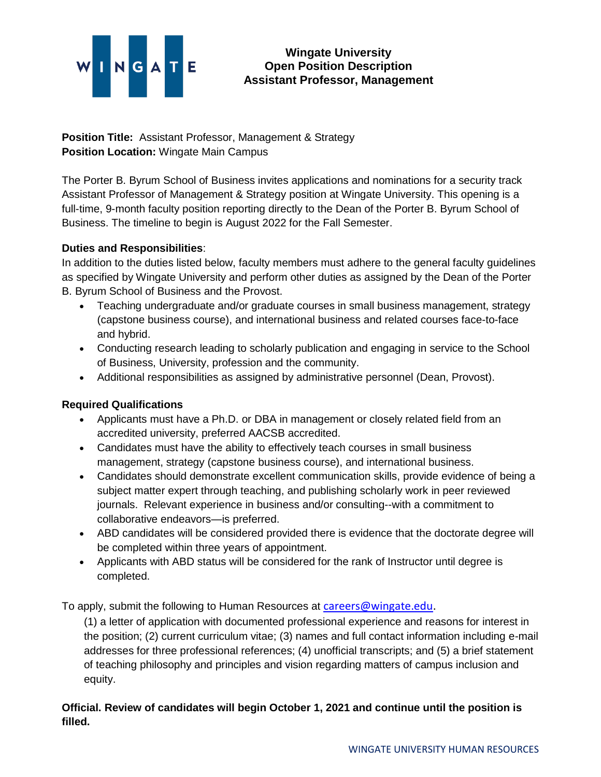# NGATE

## **Wingate University Open Position Description Assistant Professor, Management**

**Position Title:** Assistant Professor, Management & Strategy **Position Location:** Wingate Main Campus

The Porter B. Byrum School of Business invites applications and nominations for a security track Assistant Professor of Management & Strategy position at Wingate University. This opening is a full-time, 9-month faculty position reporting directly to the Dean of the Porter B. Byrum School of Business. The timeline to begin is August 2022 for the Fall Semester.

## **Duties and Responsibilities**:

In addition to the duties listed below, faculty members must adhere to the general faculty guidelines as specified by Wingate University and perform other duties as assigned by the Dean of the Porter B. Byrum School of Business and the Provost.

- Teaching undergraduate and/or graduate courses in small business management, strategy (capstone business course), and international business and related courses face-to-face and hybrid.
- Conducting research leading to scholarly publication and engaging in service to the School of Business, University, profession and the community.
- Additional responsibilities as assigned by administrative personnel (Dean, Provost).

# **Required Qualifications**

- Applicants must have a Ph.D. or DBA in management or closely related field from an accredited university, preferred AACSB accredited.
- Candidates must have the ability to effectively teach courses in small business management, strategy (capstone business course), and international business.
- Candidates should demonstrate excellent communication skills, provide evidence of being a subject matter expert through teaching, and publishing scholarly work in peer reviewed journals. Relevant experience in business and/or consulting--with a commitment to collaborative endeavors—is preferred.
- ABD candidates will be considered provided there is evidence that the doctorate degree will be completed within three years of appointment.
- Applicants with ABD status will be considered for the rank of Instructor until degree is completed.

To apply, submit the following to Human Resources at [careers@wingate.edu.](mailto:careers@wingate.edu)

(1) a letter of application with documented professional experience and reasons for interest in the position; (2) current curriculum vitae; (3) names and full contact information including e-mail addresses for three professional references; (4) unofficial transcripts; and (5) a brief statement of teaching philosophy and principles and vision regarding matters of campus inclusion and equity.

## **Official. Review of candidates will begin October 1, 2021 and continue until the position is filled.**